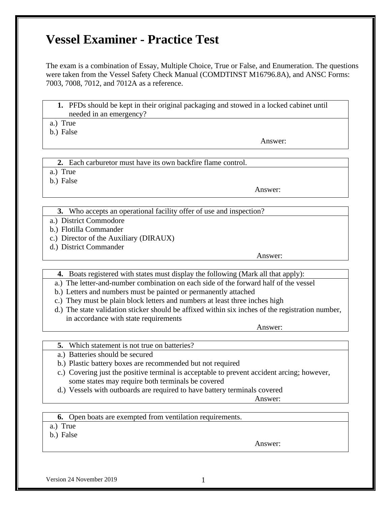# **Vessel Examiner - Practice Test**

The exam is a combination of Essay, Multiple Choice, True or False, and Enumeration. The questions were taken from the Vessel Safety Check Manual (COMDTINST M16796.8A), and ANSC Forms: 7003, 7008, 7012, and 7012A as a reference.

**1.** PFDs should be kept in their original packaging and stowed in a locked cabinet until needed in an emergency?

a.) True

b.) False

Answer:

**2.** Each carburetor must have its own backfire flame control.

a.) True

b.) False

Answer:

**3.** Who accepts an operational facility offer of use and inspection?

- a.) District Commodore
- b.) Flotilla Commander
- c.) Director of the Auxiliary (DIRAUX)
- d.) District Commander

Answer:

- **4.** Boats registered with states must display the following (Mark all that apply):
- a.) The letter-and-number combination on each side of the forward half of the vessel
- b.) Letters and numbers must be painted or permanently attached
- c.) They must be plain block letters and numbers at least three inches high
- d.) The state validation sticker should be affixed within six inches of the registration number, in accordance with state requirements

Answer:

- **5.** Which statement is not true on batteries?
- a.) Batteries should be secured
- b.) Plastic battery boxes are recommended but not required
- c.) Covering just the positive terminal is acceptable to prevent accident arcing; however, some states may require both terminals be covered
- d.) Vessels with outboards are required to have battery terminals covered

Answer:

- **6.** Open boats are exempted from ventilation requirements.
- a.) True
- b.) False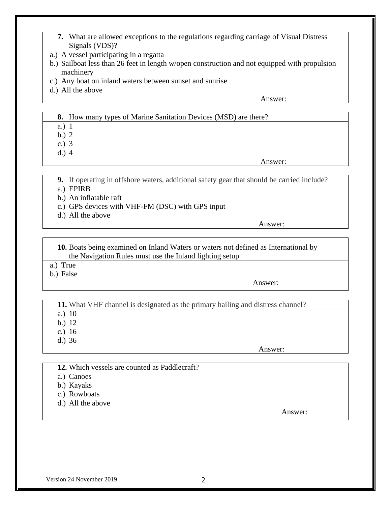- **7.** What are allowed exceptions to the regulations regarding carriage of Visual Distress Signals (VDS)?
- a.) A vessel participating in a regatta
- b.) Sailboat less than 26 feet in length w/open construction and not equipped with propulsion machinery
- c.) Any boat on inland waters between sunset and sunrise
- d.) All the above

### **8.** How many types of Marine Sanitation Devices (MSD) are there?

a.) 1

- b.) 2
- c.) 3
- d.) 4

Answer:

**9.** If operating in offshore waters, additional safety gear that should be carried include?

- a.) EPIRB
- b.) An inflatable raft
- c.) GPS devices with VHF-FM (DSC) with GPS input
- d.) All the above

Answer:

**10.** Boats being examined on Inland Waters or waters not defined as International by the Navigation Rules must use the Inland lighting setup.

- a.) True
- b.) False

Answer:

**11.** What VHF channel is designated as the primary hailing and distress channel?

- a.) 10
- b.) 12
- c.) 16
- d.) 36

Answer:

- **12.** Which vessels are counted as Paddlecraft?
- a.) Canoes
- b.) Kayaks
- c.) Rowboats
- d.) All the above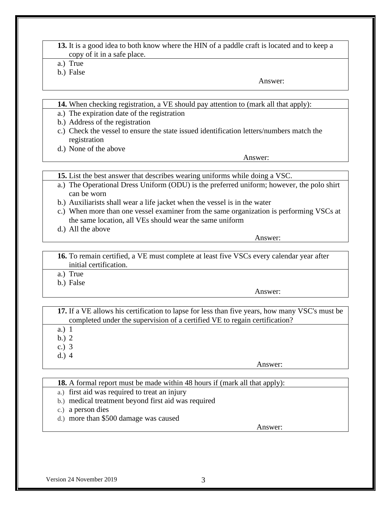- **13.** It is a good idea to both know where the HIN of a paddle craft is located and to keep a copy of it in a safe place.
- a.) True
- b.) False

- **14.** When checking registration, a VE should pay attention to (mark all that apply):
- a.) The expiration date of the registration
- b.) Address of the registration
- c.) Check the vessel to ensure the state issued identification letters/numbers match the registration
- d.) None of the above

Answer:

- **15.** List the best answer that describes wearing uniforms while doing a VSC.
- a.) The Operational Dress Uniform (ODU) is the preferred uniform; however, the polo shirt can be worn
- b.) Auxiliarists shall wear a life jacket when the vessel is in the water
- c.) When more than one vessel examiner from the same organization is performing VSCs at the same location, all VEs should wear the same uniform
- d.) All the above

Answer:

**16.** To remain certified, a VE must complete at least five VSCs every calendar year after initial certification.

- a.) True
- b.) False

Answer:

**17.** If a VE allows his certification to lapse for less than five years, how many VSC's must be completed under the supervision of a certified VE to regain certification?

- a.) 1
- b.) 2
- c.) 3
- d.) 4

Answer:

**18.** A formal report must be made within 48 hours if (mark all that apply):

- a.) first aid was required to treat an injury
- b.) medical treatment beyond first aid was required
- c.) a person dies
- d.) more than \$500 damage was caused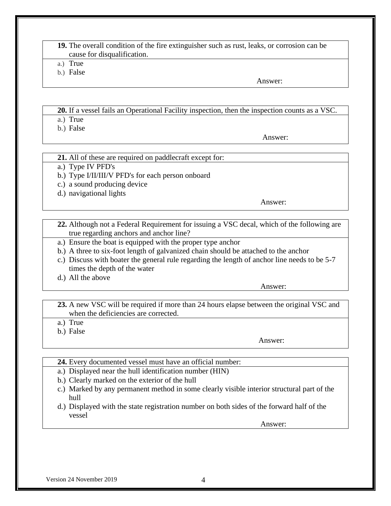#### **19.** The overall condition of the fire extinguisher such as rust, leaks, or corrosion can be cause for disqualification.

- a.) True
- b.) False

Answer:

# **20.** If a vessel fails an Operational Facility inspection, then the inspection counts as a VSC.

- a.) True
- b.) False

Answer:

### **21.** All of these are required on paddlecraft except for:

a.) Type IV PFD's

b.) Type I/II/III/V PFD's for each person onboard

- c.) a sound producing device
- d.) navigational lights

Answer:

- **22.** Although not a Federal Requirement for issuing a VSC decal, which of the following are true regarding anchors and anchor line?
- a.) Ensure the boat is equipped with the proper type anchor
- b.) A three to six-foot length of galvanized chain should be attached to the anchor
- c.) Discuss with boater the general rule regarding the length of anchor line needs to be 5-7 times the depth of the water
- d.) All the above

Answer:

**23.** A new VSC will be required if more than 24 hours elapse between the original VSC and when the deficiencies are corrected.

a.) True

b.) False

Answer:

- **24.** Every documented vessel must have an official number:
- a.) Displayed near the hull identification number (HIN)
- b.) Clearly marked on the exterior of the hull
- c.) Marked by any permanent method in some clearly visible interior structural part of the hull
- d.) Displayed with the state registration number on both sides of the forward half of the vessel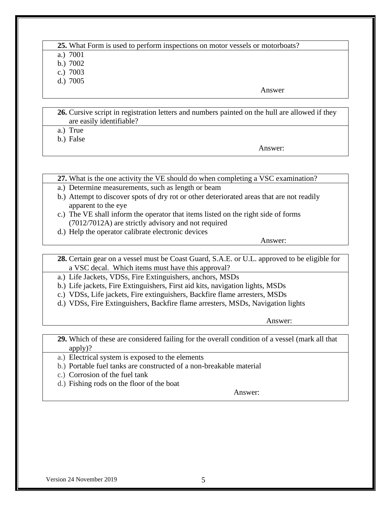#### **25.** What Form is used to perform inspections on motor vessels or motorboats? a.) 7001

b.) 7002

c.) 7003

d.) 7005

**Answer** 

**26.** Cursive script in registration letters and numbers painted on the hull are allowed if they are easily identifiable?

a.) True

b.) False

Answer:

**27.** What is the one activity the VE should do when completing a VSC examination?

- a.) Determine measurements, such as length or beam
- b.) Attempt to discover spots of dry rot or other deteriorated areas that are not readily apparent to the eye
- c.) The VE shall inform the operator that items listed on the right side of forms (7012/7012A) are strictly advisory and not required
- d.) Help the operator calibrate electronic devices

Answer:

**28.** Certain gear on a vessel must be Coast Guard, S.A.E. or U.L. approved to be eligible for a VSC decal. Which items must have this approval?

a.) Life Jackets, VDSs, Fire Extinguishers, anchors, MSDs

- b.) Life jackets, Fire Extinguishers, First aid kits, navigation lights, MSDs
- c.) VDSs, Life jackets, Fire extinguishers, Backfire flame arresters, MSDs
- d.) VDSs, Fire Extinguishers, Backfire flame arresters, MSDs, Navigation lights

Answer:

**29.** Which of these are considered failing for the overall condition of a vessel (mark all that apply)?

a.) Electrical system is exposed to the elements

b.) Portable fuel tanks are constructed of a non-breakable material

- c.) Corrosion of the fuel tank
- d.) Fishing rods on the floor of the boat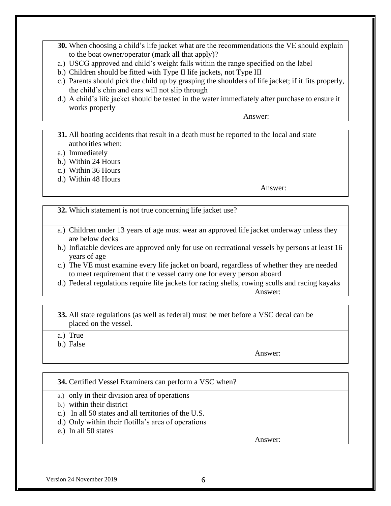- **30.** When choosing a child's life jacket what are the recommendations the VE should explain to the boat owner/operator (mark all that apply)?
- a.) USCG approved and child's weight falls within the range specified on the label
- b.) Children should be fitted with Type II life jackets, not Type III
- c.) Parents should pick the child up by grasping the shoulders of life jacket; if it fits properly, the child's chin and ears will not slip through
- d.) A child's life jacket should be tested in the water immediately after purchase to ensure it works properly

- **31.** All boating accidents that result in a death must be reported to the local and state authorities when:
- a.) Immediately
- b.) Within 24 Hours
- c.) Within 36 Hours
- d.) Within 48 Hours

Answer:

**32.** Which statement is not true concerning life jacket use?

- a.) Children under 13 years of age must wear an approved life jacket underway unless they are below decks
- b.) Inflatable devices are approved only for use on recreational vessels by persons at least 16 years of age
- c.) The VE must examine every life jacket on board, regardless of whether they are needed to meet requirement that the vessel carry one for every person aboard
- d.) Federal regulations require life jackets for racing shells, rowing sculls and racing kayaks Answer:
	- **33.** All state regulations (as well as federal) must be met before a VSC decal can be placed on the vessel.
	- a.) True
	- b.) False

Answer:

- **34.** Certified Vessel Examiners can perform a VSC when?
- a.) only in their division area of operations
- b.) within their district
- c.) In all 50 states and all territories of the U.S.
- d.) Only within their flotilla's area of operations
- e.) In all 50 states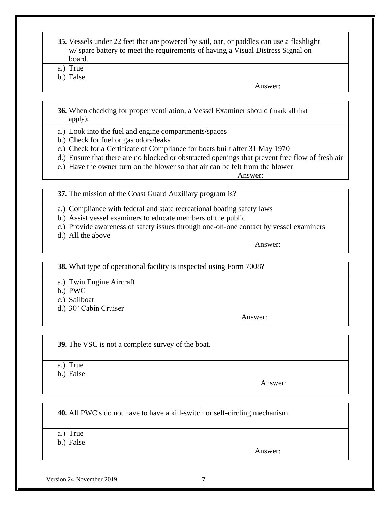- **35.** Vessels under 22 feet that are powered by sail, oar, or paddles can use a flashlight w/ spare battery to meet the requirements of having a Visual Distress Signal on board.
- a.) True
- b.) False

- **36.** When checking for proper ventilation, a Vessel Examiner should (mark all that apply):
- a.) Look into the fuel and engine compartments/spaces
- b.) Check for fuel or gas odors/leaks
- c.) Check for a Certificate of Compliance for boats built after 31 May 1970
- d.) Ensure that there are no blocked or obstructed openings that prevent free flow of fresh air
- e.) Have the owner turn on the blower so that air can be felt from the blower

Answer:

- **37.** The mission of the Coast Guard Auxiliary program is?
- a.) Compliance with federal and state recreational boating safety laws
- b.) Assist vessel examiners to educate members of the public
- c.) Provide awareness of safety issues through one-on-one contact by vessel examiners
- d.) All the above

Answer:

**38.** What type of operational facility is inspected using Form 7008?

- a.) Twin Engine Aircraft
- b.) PWC
- c.) Sailboat
- d.) 30' Cabin Cruiser

Answer:

**39.** The VSC is not a complete survey of the boat.

- a.) True
- b.) False

Answer:

**40.** All PWC's do not have to have a kill-switch or self-circling mechanism.

a.) True

b.) False

Answer:

Version 24 November 2019 7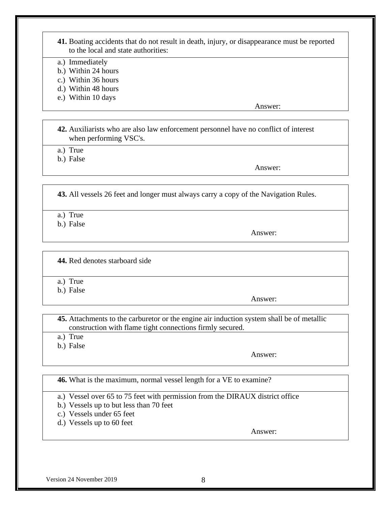- **41.** Boating accidents that do not result in death, injury, or disappearance must be reported to the local and state authorities:
- a.) Immediately
- b.) Within 24 hours
- c.) Within 36 hours
- d.) Within 48 hours
- e.) Within 10 days

**42.** Auxiliarists who are also law enforcement personnel have no conflict of interest when performing VSC's.

a.) True

b.) False

Answer:

**43.** All vessels 26 feet and longer must always carry a copy of the Navigation Rules.

- a.) True
- b.) False

Answer:

**44.** Red denotes starboard side

a.) True

b.) False

Answer:

**45.** Attachments to the carburetor or the engine air induction system shall be of metallic construction with flame tight connections firmly secured.

- a.) True
- b.) False

Answer:

**46.** What is the maximum, normal vessel length for a VE to examine?

a.) Vessel over 65 to 75 feet with permission from the DIRAUX district office

- b.) Vessels up to but less than 70 feet
- c.) Vessels under 65 feet
- d.) Vessels up to 60 feet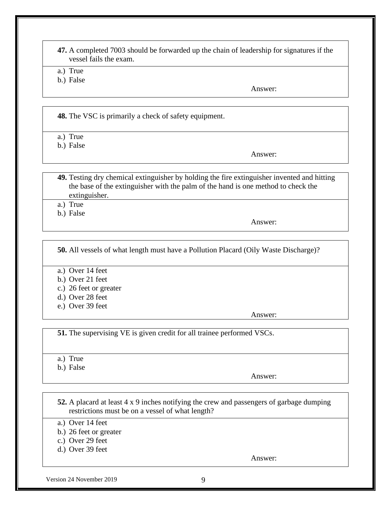**47.** A completed 7003 should be forwarded up the chain of leadership for signatures if the vessel fails the exam.

a.) True

b.) False

Answer:

**48.** The VSC is primarily a check of safety equipment.

a.) True

b.) False

Answer:

**49.** Testing dry chemical extinguisher by holding the fire extinguisher invented and hitting the base of the extinguisher with the palm of the hand is one method to check the extinguisher.

a.) True

b.) False

Answer:

**50.** All vessels of what length must have a Pollution Placard (Oily Waste Discharge)?

a.) Over 14 feet

- b.) Over 21 feet
- c.) 26 feet or greater
- d.) Over 28 feet
- e.) Over 39 feet

Answer:

**51.** The supervising VE is given credit for all trainee performed VSCs.

a.) True

b.) False

Answer:

**52.** A placard at least 4 x 9 inches notifying the crew and passengers of garbage dumping restrictions must be on a vessel of what length?

a.) Over 14 feet

- b.) 26 feet or greater
- c.) Over 29 feet
- d.) Over 39 feet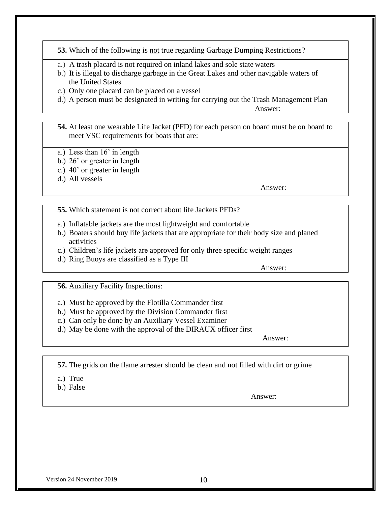**53.** Which of the following is not true regarding Garbage Dumping Restrictions?

- a.) A trash placard is not required on inland lakes and sole state waters
- b.) It is illegal to discharge garbage in the Great Lakes and other navigable waters of the United States
- c.) Only one placard can be placed on a vessel
- d.) A person must be designated in writing for carrying out the Trash Management Plan

Answer:

**54.** At least one wearable Life Jacket (PFD) for each person on board must be on board to meet VSC requirements for boats that are:

- a.) Less than 16' in length
- b.) 26' or greater in length
- c.) 40' or greater in length
- d.) All vessels

Answer:

- **55.** Which statement is not correct about life Jackets PFDs?
- a.) Inflatable jackets are the most lightweight and comfortable
- b.) Boaters should buy life jackets that are appropriate for their body size and planed activities
- c.) Children's life jackets are approved for only three specific weight ranges
- d.) Ring Buoys are classified as a Type III

Answer:

**56.** Auxiliary Facility Inspections:

- a.) Must be approved by the Flotilla Commander first
- b.) Must be approved by the Division Commander first
- c.) Can only be done by an Auxiliary Vessel Examiner
- d.) May be done with the approval of the DIRAUX officer first

Answer:

**57.** The grids on the flame arrester should be clean and not filled with dirt or grime

- a.) True
- b.) False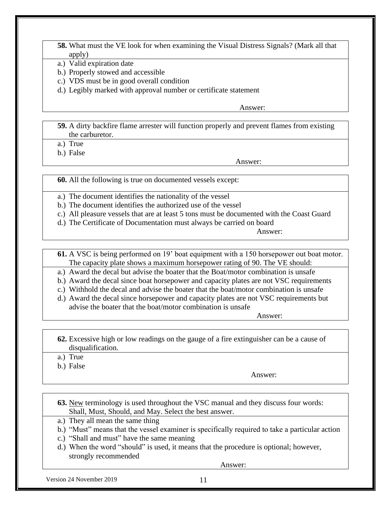- **58.** What must the VE look for when examining the Visual Distress Signals? (Mark all that apply)
- a.) Valid expiration date
- b.) Properly stowed and accessible
- c.) VDS must be in good overall condition
- d.) Legibly marked with approval number or certificate statement

**59.** A dirty backfire flame arrester will function properly and prevent flames from existing the carburetor.

a.) True

b.) False

Answer:

**60.** All the following is true on documented vessels except:

- a.) The document identifies the nationality of the vessel
- b.) The document identifies the authorized use of the vessel
- c.) All pleasure vessels that are at least 5 tons must be documented with the Coast Guard
- d.) The Certificate of Documentation must always be carried on board

Answer:

- **61.** A VSC is being performed on 19' boat equipment with a 150 horsepower out boat motor. The capacity plate shows a maximum horsepower rating of 90. The VE should:
- a.) Award the decal but advise the boater that the Boat/motor combination is unsafe
- b.) Award the decal since boat horsepower and capacity plates are not VSC requirements
- c.) Withhold the decal and advise the boater that the boat/motor combination is unsafe
- d.) Award the decal since horsepower and capacity plates are not VSC requirements but advise the boater that the boat/motor combination is unsafe

Answer:

**62.** Excessive high or low readings on the gauge of a fire extinguisher can be a cause of disqualification.

a.) True

b.) False

Answer:

- **63.** New terminology is used throughout the VSC manual and they discuss four words: Shall, Must, Should, and May. Select the best answer.
- a.) They all mean the same thing
- b.) "Must" means that the vessel examiner is specifically required to take a particular action
- c.) "Shall and must" have the same meaning
- d.) When the word "should" is used, it means that the procedure is optional; however, strongly recommended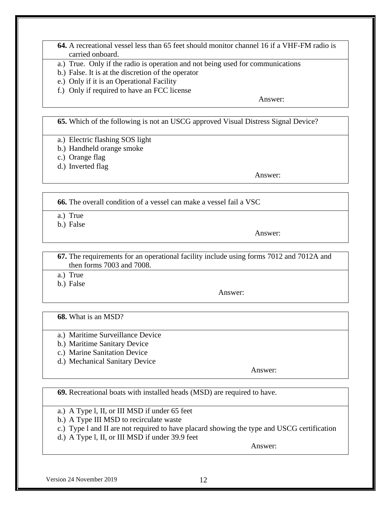- **64.** A recreational vessel less than 65 feet should monitor channel 16 if a VHF-FM radio is carried onboard.
- a.) True. Only if the radio is operation and not being used for communications
- b.) False. It is at the discretion of the operator
- e.) Only if it is an Operational Facility
- f.) Only if required to have an FCC license

**65.** Which of the following is not an USCG approved Visual Distress Signal Device?

- a.) Electric flashing SOS light
- b.) Handheld orange smoke
- c.) Orange flag
- d.) Inverted flag

Answer:

**66.** The overall condition of a vessel can make a vessel fail a VSC

- a.) True
- b.) False

Answer:

**67.** The requirements for an operational facility include using forms 7012 and 7012A and then forms 7003 and 7008.

a.) True

b.) False

Answer:

**68.** What is an MSD?

- a.) Maritime Surveillance Device
- b.) Maritime Sanitary Device
- c.) Marine Sanitation Device
- d.) Mechanical Sanitary Device

Answer:

**69.** Recreational boats with installed heads (MSD) are required to have.

- a.) A Type l, II, or III MSD if under 65 feet
- b.) A Type III MSD to recirculate waste
- c.) Type l and II are not required to have placard showing the type and USCG certification
- d.) A Type l, II, or III MSD if under 39.9 feet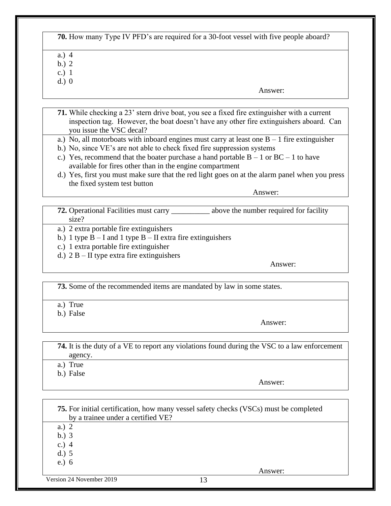## **70.** How many Type IV PFD's are required for a 30-foot vessel with five people aboard?

- a.) 4
- b.) 2
- c.) 1
- d.) 0

Answer:

- **71.** While checking a 23' stern drive boat, you see a fixed fire extinguisher with a current inspection tag. However, the boat doesn't have any other fire extinguishers aboard. Can you issue the VSC decal?
- a.) No, all motorboats with inboard engines must carry at least one  $B 1$  fire extinguisher
- b.) No, since VE's are not able to check fixed fire suppression systems
- c.) Yes, recommend that the boater purchase a hand portable  $B 1$  or  $BC 1$  to have available for fires other than in the engine compartment
- d.) Yes, first you must make sure that the red light goes on at the alarm panel when you press the fixed system test button

Answer:

- **72.** Operational Facilities must carry \_\_\_\_\_\_\_\_\_\_ above the number required for facility size?
- a.) 2 extra portable fire extinguishers
- b.) 1 type  $B I$  and 1 type  $B II$  extra fire extinguishers
- c.) 1 extra portable fire extinguisher
- d.)  $2 B II$  type extra fire extinguishers

Answer:

**73.** Some of the recommended items are mandated by law in some states.

- a.) True
- b.) False

Answer:

**74.** It is the duty of a VE to report any violations found during the VSC to a law enforcement agency. a.) True

b.) False

Answer:

Version 24 November 2019 13 **75.** For initial certification, how many vessel safety checks (VSCs) must be completed by a trainee under a certified VE? a.) 2 b.) 3 c.) 4 d.) 5 e.) 6 Answer: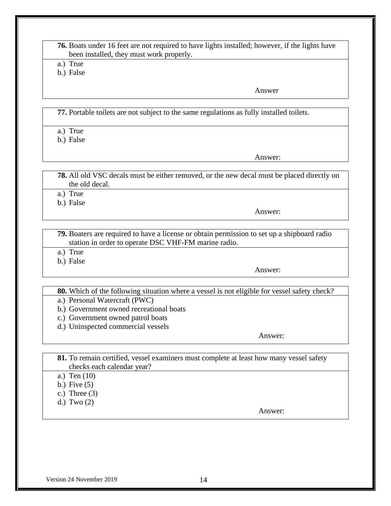| <b>76.</b> Boats under 16 feet are not required to have lights installed; however, if the lights have |  |
|-------------------------------------------------------------------------------------------------------|--|
| been installed, they must work properly.                                                              |  |

a.) True

b.) False

Answer

**77.** Portable toilets are not subject to the same regulations as fully installed toilets.

a.) True

b.) False

Answer:

**78.** All old VSC decals must be either removed, or the new decal must be placed directly on the old decal.

a.) True

b.) False

Answer:

**79.** Boaters are required to have a license or obtain permission to set up a shipboard radio station in order to operate DSC VHF-FM marine radio.

- a.) True
- b.) False

Answer:

**80.** Which of the following situation where a vessel is not eligible for vessel safety check?

- a.) Personal Watercraft (PWC)
- b.) Government owned recreational boats
- c.) Government owned patrol boats
- d.) Uninspected commercial vessels

Answer:

- **81.** To remain certified, vessel examiners must complete at least how many vessel safety checks each calendar year?
- a.) Ten (10)
- b.) Five (5)
- c.) Three  $(3)$
- d.) Two (2)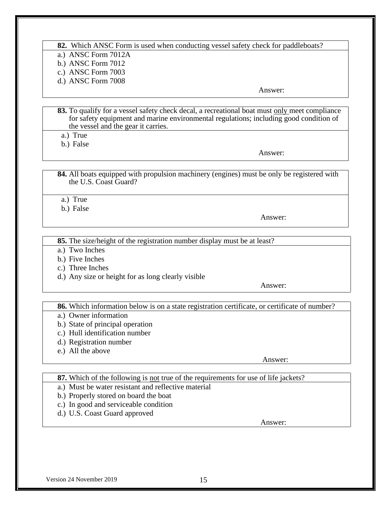#### **82.** Which ANSC Form is used when conducting vessel safety check for paddleboats?

- a.) ANSC Form 7012A
- b.) ANSC Form 7012
- c.) ANSC Form 7003
- d.) ANSC Form 7008

Answer:

- **83.** To qualify for a vessel safety check decal, a recreational boat must only meet compliance for safety equipment and marine environmental regulations; including good condition of the vessel and the gear it carries.
- a.) True
- b.) False

Answer:

**84.** All boats equipped with propulsion machinery (engines) must be only be registered with the U.S. Coast Guard?

- a.) True
- b.) False

Answer:

**85.** The size/height of the registration number display must be at least?

- a.) Two Inches
- b.) Five Inches
- c.) Three Inches
- d.) Any size or height for as long clearly visible

Answer:

**86.** Which information below is on a state registration certificate, or certificate of number?

- a.) Owner information
- b.) State of principal operation
- c.) Hull identification number
- d.) Registration number
- e.) All the above

Answer:

**87.** Which of the following is not true of the requirements for use of life jackets?

- a.) Must be water resistant and reflective material
- b.) Properly stored on board the boat
- c.) In good and serviceable condition
- d.) U.S. Coast Guard approved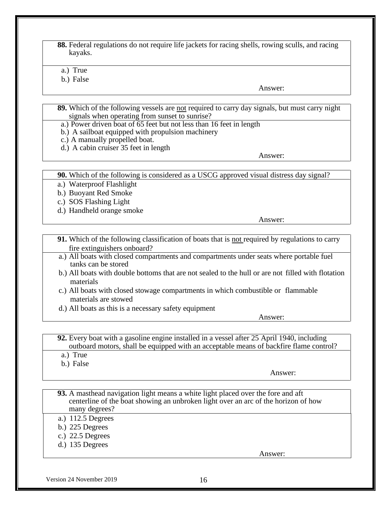**88.** Federal regulations do not require life jackets for racing shells, rowing sculls, and racing kayaks.

a.) True

b.) False

Answer:

- **89.** Which of the following vessels are not required to carry day signals, but must carry night signals when operating from sunset to sunrise?
- a.) Power driven boat of 65 feet but not less than 16 feet in length
- b.) A sailboat equipped with propulsion machinery
- c.) A manually propelled boat.
- d.) A cabin cruiser 35 feet in length

Answer:

**90.** Which of the following is considered as a USCG approved visual distress day signal?

a.) Waterproof Flashlight

b.) Buoyant Red Smoke

- c.) SOS Flashing Light
- d.) Handheld orange smoke

Answer:

- **91.** Which of the following classification of boats that is not required by regulations to carry fire extinguishers onboard?
- a.) All boats with closed compartments and compartments under seats where portable fuel tanks can be stored
- b.) All boats with double bottoms that are not sealed to the hull or are not filled with flotation materials
- c.) All boats with closed stowage compartments in which combustible or flammable materials are stowed
- d.) All boats as this is a necessary safety equipment

Answer:

**92.** Every boat with a gasoline engine installed in a vessel after 25 April 1940, including outboard motors, shall be equipped with an acceptable means of backfire flame control?

- a.) True
- b.) False

Answer:

- **93.** A masthead navigation light means a white light placed over the fore and aft centerline of the boat showing an unbroken light over an arc of the horizon of how many degrees?
- a.) 112.5 Degrees
- b.) 225 Degrees
- c.) 22.5 Degrees
- d.) 135 Degrees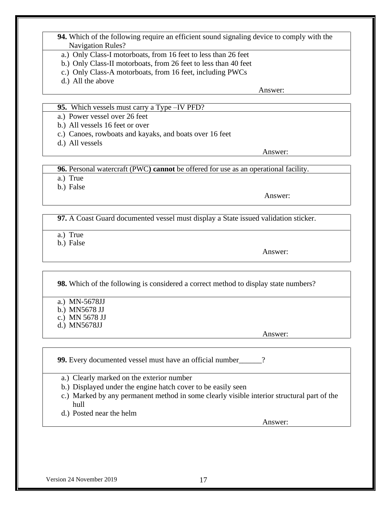- **94.** Which of the following require an efficient sound signaling device to comply with the Navigation Rules?
- a.) Only Class-I motorboats, from 16 feet to less than 26 feet
- b.) Only Class-II motorboats, from 26 feet to less than 40 feet
- c.) Only Class-A motorboats, from 16 feet, including PWCs
- d.) All the above

- **95.** Which vessels must carry a Type –IV PFD?
- a.) Power vessel over 26 feet
- b.) All vessels 16 feet or over
- c.) Canoes, rowboats and kayaks, and boats over 16 feet
- d.) All vessels

Answer:

**96.** Personal watercraft (PWC**) cannot** be offered for use as an operational facility.

- a.) True
- b.) False

Answer:

**97.** A Coast Guard documented vessel must display a State issued validation sticker.

- a.) True
- b.) False

Answer:

**98.** Which of the following is considered a correct method to display state numbers?

- a.) MN-5678JJ
- b.) MN5678 JJ
- c.) MN 5678 JJ
- d.) MN5678JJ

Answer:

**99.** Every documented vessel must have an official number\_\_\_\_\_\_?

- a.) Clearly marked on the exterior number
- b.) Displayed under the engine hatch cover to be easily seen
- c.) Marked by any permanent method in some clearly visible interior structural part of the hull
- d.) Posted near the helm